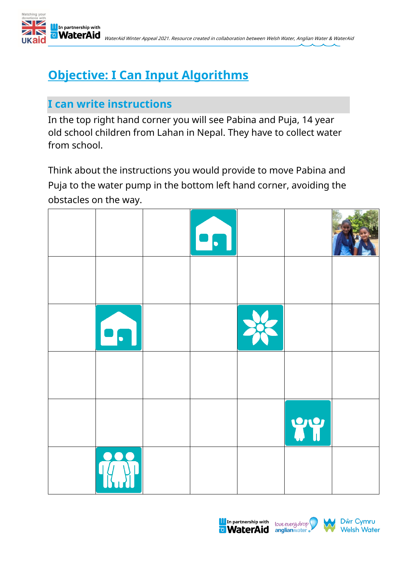

# **Objective: I Can Input Algorithms**

## **I can write instructions**

In the top right hand corner you will see Pabina and Puja, 14 year old school children from Lahan in Nepal. They have to collect water from school.

Think about the instructions you would provide to move Pabina and Puja to the water pump in the bottom left hand corner, avoiding the obstacles on the way.







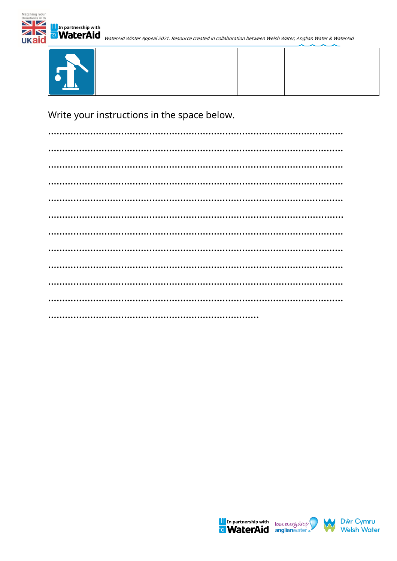

WaterAid Winter Appeal 2021. Resource created in collaboration between Welsh Water, Anglian Water & WaterAid

| 65 C |  |  |  |
|------|--|--|--|
|      |  |  |  |

Write your instructions in the space below.





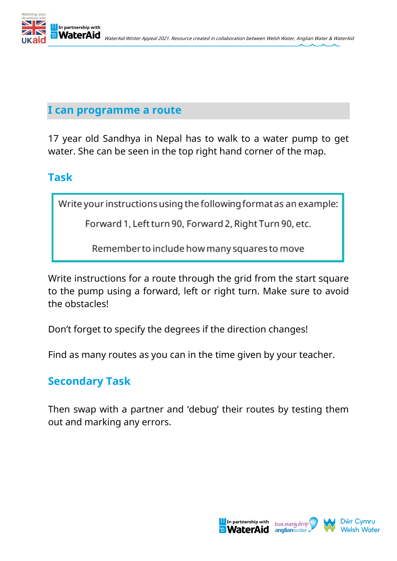

#### **I can programme a route**

17 year old Sandhya in Nepal has to walk to a water pump to get water. She can be seen in the top right hand corner of the map.

#### **Task**

Write your instructions using the following format as an example:

Forward 1, Left turn 90, Forward 2, Right Turn 90, etc.

Remember to include how many squares to move

Write instructions for a route through the grid from the start square to the pump using a forward, left or right turn. Make sure to avoid the obstacles!

Don't forget to specify the degrees if the direction changes!

Find as many routes as you can in the time given by your teacher.

### **Secondary Task**

Then swap with a partner and 'debug' their routes by testing them out and marking any errors.





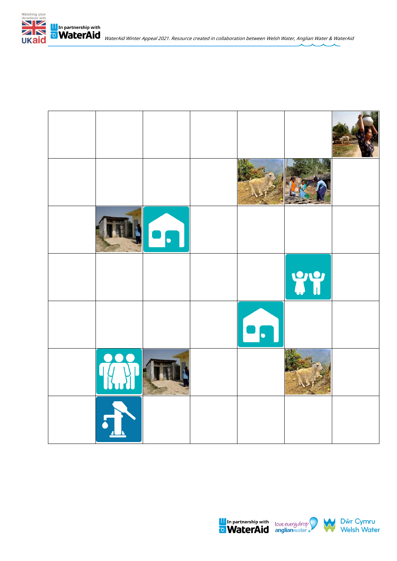